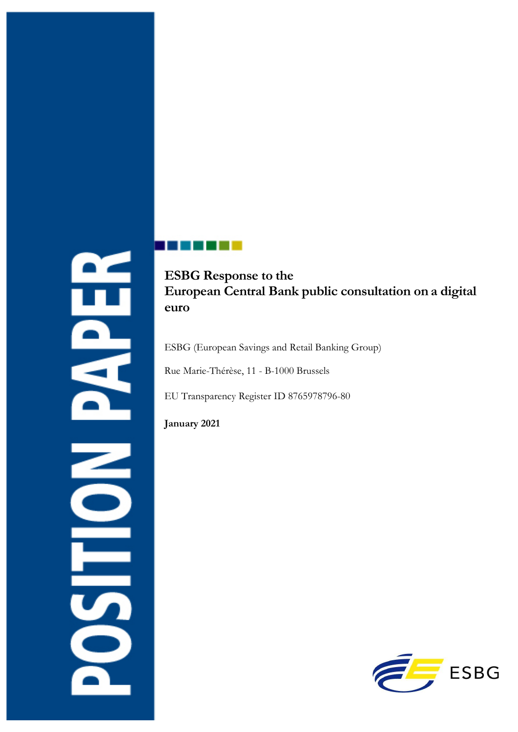# n<br>P **DESPEN**

# **ESBG Response to the European Central Bank public consultation on a digital euro**

ESBG (European Savings and Retail Banking Group)

Rue Marie-Thérèse, 11 - B-1000 Brussels

EU Transparency Register ID 8765978796-80

**January 2021**

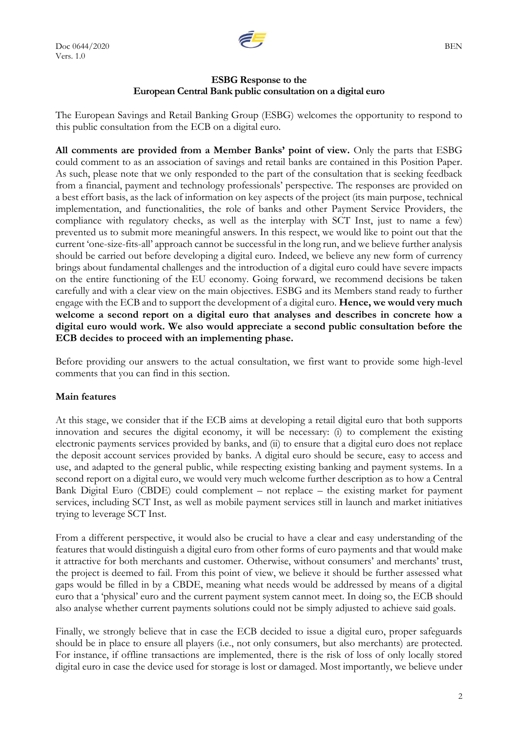

### **ESBG Response to the European Central Bank public consultation on a digital euro**

The European Savings and Retail Banking Group (ESBG) welcomes the opportunity to respond to this public consultation from the ECB on a digital euro.

**All comments are provided from a Member Banks' point of view.** Only the parts that ESBG could comment to as an association of savings and retail banks are contained in this Position Paper. As such, please note that we only responded to the part of the consultation that is seeking feedback from a financial, payment and technology professionals' perspective. The responses are provided on a best effort basis, as the lack of information on key aspects of the project (its main purpose, technical implementation, and functionalities, the role of banks and other Payment Service Providers, the compliance with regulatory checks, as well as the interplay with SCT Inst, just to name a few) prevented us to submit more meaningful answers. In this respect, we would like to point out that the current 'one-size-fits-all' approach cannot be successful in the long run, and we believe further analysis should be carried out before developing a digital euro. Indeed, we believe any new form of currency brings about fundamental challenges and the introduction of a digital euro could have severe impacts on the entire functioning of the EU economy. Going forward, we recommend decisions be taken carefully and with a clear view on the main objectives. ESBG and its Members stand ready to further engage with the ECB and to support the development of a digital euro. **Hence, we would very much welcome a second report on a digital euro that analyses and describes in concrete how a digital euro would work. We also would appreciate a second public consultation before the ECB decides to proceed with an implementing phase.**

Before providing our answers to the actual consultation, we first want to provide some high-level comments that you can find in this section.

### **Main features**

At this stage, we consider that if the ECB aims at developing a retail digital euro that both supports innovation and secures the digital economy, it will be necessary: (i) to complement the existing electronic payments services provided by banks, and (ii) to ensure that a digital euro does not replace the deposit account services provided by banks. A digital euro should be secure, easy to access and use, and adapted to the general public, while respecting existing banking and payment systems. In a second report on a digital euro, we would very much welcome further description as to how a Central Bank Digital Euro (CBDE) could complement – not replace – the existing market for payment services, including SCT Inst, as well as mobile payment services still in launch and market initiatives trying to leverage SCT Inst.

From a different perspective, it would also be crucial to have a clear and easy understanding of the features that would distinguish a digital euro from other forms of euro payments and that would make it attractive for both merchants and customer. Otherwise, without consumers' and merchants' trust, the project is deemed to fail. From this point of view, we believe it should be further assessed what gaps would be filled in by a CBDE, meaning what needs would be addressed by means of a digital euro that a 'physical' euro and the current payment system cannot meet. In doing so, the ECB should also analyse whether current payments solutions could not be simply adjusted to achieve said goals.

Finally, we strongly believe that in case the ECB decided to issue a digital euro, proper safeguards should be in place to ensure all players (i.e., not only consumers, but also merchants) are protected. For instance, if offline transactions are implemented, there is the risk of loss of only locally stored digital euro in case the device used for storage is lost or damaged. Most importantly, we believe under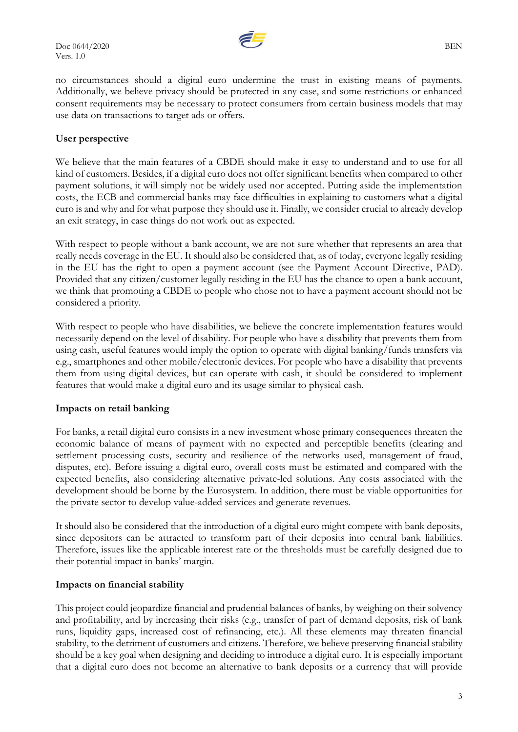

no circumstances should a digital euro undermine the trust in existing means of payments. Additionally, we believe privacy should be protected in any case, and some restrictions or enhanced consent requirements may be necessary to protect consumers from certain business models that may use data on transactions to target ads or offers.

### **User perspective**

We believe that the main features of a CBDE should make it easy to understand and to use for all kind of customers. Besides, if a digital euro does not offer significant benefits when compared to other payment solutions, it will simply not be widely used nor accepted. Putting aside the implementation costs, the ECB and commercial banks may face difficulties in explaining to customers what a digital euro is and why and for what purpose they should use it. Finally, we consider crucial to already develop an exit strategy, in case things do not work out as expected.

With respect to people without a bank account, we are not sure whether that represents an area that really needs coverage in the EU. It should also be considered that, as of today, everyone legally residing in the EU has the right to open a payment account (see the Payment Account Directive, PAD). Provided that any citizen/customer legally residing in the EU has the chance to open a bank account, we think that promoting a CBDE to people who chose not to have a payment account should not be considered a priority.

With respect to people who have disabilities, we believe the concrete implementation features would necessarily depend on the level of disability. For people who have a disability that prevents them from using cash, useful features would imply the option to operate with digital banking/funds transfers via e.g., smartphones and other mobile/electronic devices. For people who have a disability that prevents them from using digital devices, but can operate with cash, it should be considered to implement features that would make a digital euro and its usage similar to physical cash.

### **Impacts on retail banking**

For banks, a retail digital euro consists in a new investment whose primary consequences threaten the economic balance of means of payment with no expected and perceptible benefits (clearing and settlement processing costs, security and resilience of the networks used, management of fraud, disputes, etc). Before issuing a digital euro, overall costs must be estimated and compared with the expected benefits, also considering alternative private-led solutions. Any costs associated with the development should be borne by the Eurosystem. In addition, there must be viable opportunities for the private sector to develop value-added services and generate revenues.

It should also be considered that the introduction of a digital euro might compete with bank deposits, since depositors can be attracted to transform part of their deposits into central bank liabilities. Therefore, issues like the applicable interest rate or the thresholds must be carefully designed due to their potential impact in banks' margin.

### **Impacts on financial stability**

This project could jeopardize financial and prudential balances of banks, by weighing on their solvency and profitability, and by increasing their risks (e.g., transfer of part of demand deposits, risk of bank runs, liquidity gaps, increased cost of refinancing, etc.). All these elements may threaten financial stability, to the detriment of customers and citizens. Therefore, we believe preserving financial stability should be a key goal when designing and deciding to introduce a digital euro. It is especially important that a digital euro does not become an alternative to bank deposits or a currency that will provide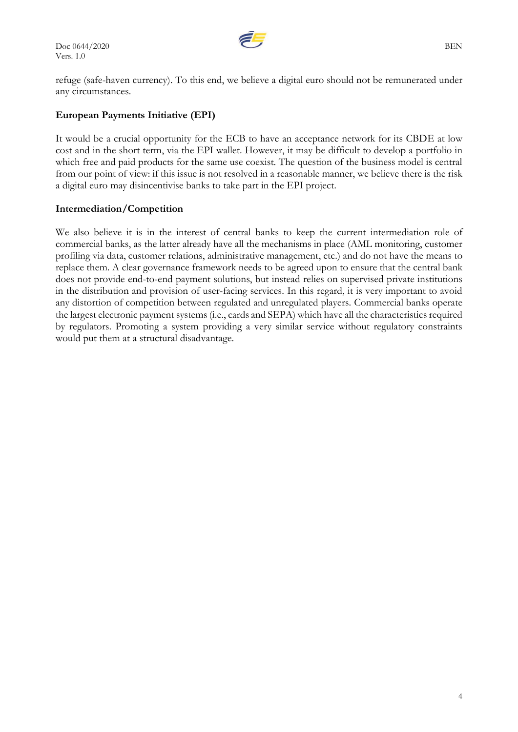$\overline{\mathcal{L}}$  BEN Vers. 1.0



refuge (safe-haven currency). To this end, we believe a digital euro should not be remunerated under any circumstances.

## **European Payments Initiative (EPI)**

It would be a crucial opportunity for the ECB to have an acceptance network for its CBDE at low cost and in the short term, via the EPI wallet. However, it may be difficult to develop a portfolio in which free and paid products for the same use coexist. The question of the business model is central from our point of view: if this issue is not resolved in a reasonable manner, we believe there is the risk a digital euro may disincentivise banks to take part in the EPI project.

### **Intermediation/Competition**

We also believe it is in the interest of central banks to keep the current intermediation role of commercial banks, as the latter already have all the mechanisms in place (AML monitoring, customer profiling via data, customer relations, administrative management, etc.) and do not have the means to replace them. A clear governance framework needs to be agreed upon to ensure that the central bank does not provide end-to-end payment solutions, but instead relies on supervised private institutions in the distribution and provision of user-facing services. In this regard, it is very important to avoid any distortion of competition between regulated and unregulated players. Commercial banks operate the largest electronic payment systems (i.e., cards and SEPA) which have all the characteristics required by regulators. Promoting a system providing a very similar service without regulatory constraints would put them at a structural disadvantage.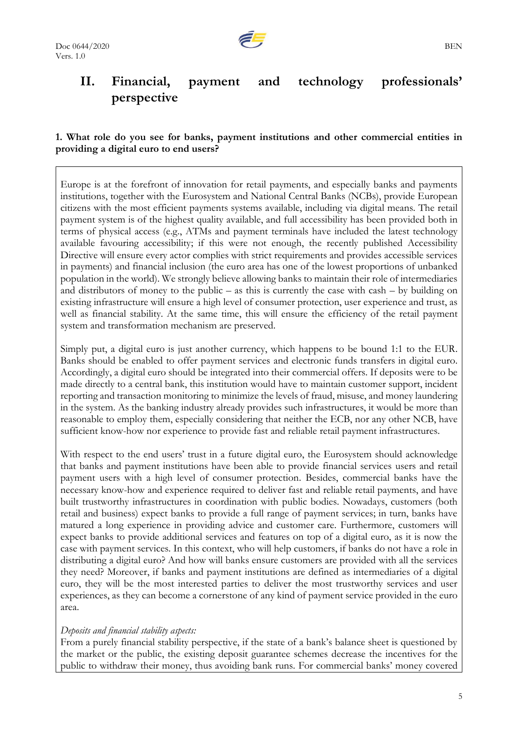# **II. Financial, payment and technology professionals' perspective**

### **1. What role do you see for banks, payment institutions and other commercial entities in providing a digital euro to end users?**

Europe is at the forefront of innovation for retail payments, and especially banks and payments institutions, together with the Eurosystem and National Central Banks (NCBs), provide European citizens with the most efficient payments systems available, including via digital means. The retail payment system is of the highest quality available, and full accessibility has been provided both in terms of physical access (e.g., ATMs and payment terminals have included the latest technology available favouring accessibility; if this were not enough, the recently published Accessibility Directive will ensure every actor complies with strict requirements and provides accessible services in payments) and financial inclusion (the euro area has one of the lowest proportions of unbanked population in the world). We strongly believe allowing banks to maintain their role of intermediaries and distributors of money to the public – as this is currently the case with cash – by building on existing infrastructure will ensure a high level of consumer protection, user experience and trust, as well as financial stability. At the same time, this will ensure the efficiency of the retail payment system and transformation mechanism are preserved.

Simply put, a digital euro is just another currency, which happens to be bound 1:1 to the EUR. Banks should be enabled to offer payment services and electronic funds transfers in digital euro. Accordingly, a digital euro should be integrated into their commercial offers. If deposits were to be made directly to a central bank, this institution would have to maintain customer support, incident reporting and transaction monitoring to minimize the levels of fraud, misuse, and money laundering in the system. As the banking industry already provides such infrastructures, it would be more than reasonable to employ them, especially considering that neither the ECB, nor any other NCB, have sufficient know-how nor experience to provide fast and reliable retail payment infrastructures.

With respect to the end users' trust in a future digital euro, the Eurosystem should acknowledge that banks and payment institutions have been able to provide financial services users and retail payment users with a high level of consumer protection. Besides, commercial banks have the necessary know-how and experience required to deliver fast and reliable retail payments, and have built trustworthy infrastructures in coordination with public bodies. Nowadays, customers (both retail and business) expect banks to provide a full range of payment services; in turn, banks have matured a long experience in providing advice and customer care. Furthermore, customers will expect banks to provide additional services and features on top of a digital euro, as it is now the case with payment services. In this context, who will help customers, if banks do not have a role in distributing a digital euro? And how will banks ensure customers are provided with all the services they need? Moreover, if banks and payment institutions are defined as intermediaries of a digital euro, they will be the most interested parties to deliver the most trustworthy services and user experiences, as they can become a cornerstone of any kind of payment service provided in the euro area.

### *Deposits and financial stability aspects:*

From a purely financial stability perspective, if the state of a bank's balance sheet is questioned by the market or the public, the existing deposit guarantee schemes decrease the incentives for the public to withdraw their money, thus avoiding bank runs. For commercial banks' money covered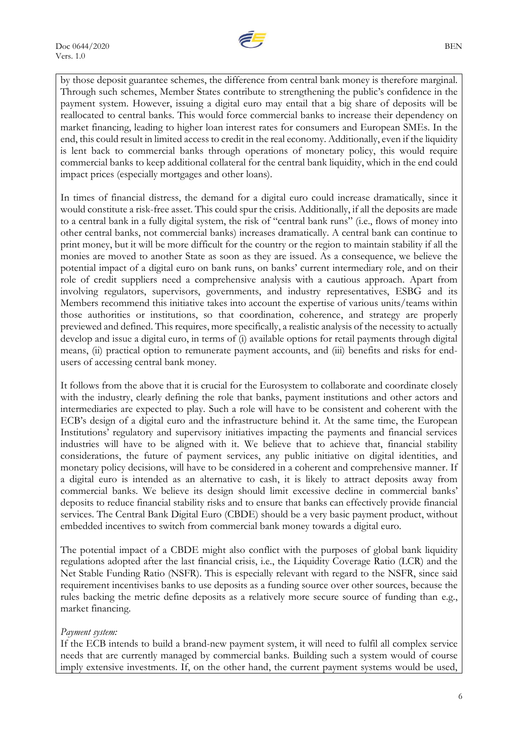

by those deposit guarantee schemes, the difference from central bank money is therefore marginal. Through such schemes, Member States contribute to strengthening the public's confidence in the payment system. However, issuing a digital euro may entail that a big share of deposits will be reallocated to central banks. This would force commercial banks to increase their dependency on market financing, leading to higher loan interest rates for consumers and European SMEs. In the end, this could result in limited access to credit in the real economy. Additionally, even if the liquidity is lent back to commercial banks through operations of monetary policy, this would require commercial banks to keep additional collateral for the central bank liquidity, which in the end could impact prices (especially mortgages and other loans).

In times of financial distress, the demand for a digital euro could increase dramatically, since it would constitute a risk-free asset. This could spur the crisis. Additionally, if all the deposits are made to a central bank in a fully digital system, the risk of "central bank runs" (i.e., flows of money into other central banks, not commercial banks) increases dramatically. A central bank can continue to print money, but it will be more difficult for the country or the region to maintain stability if all the monies are moved to another State as soon as they are issued. As a consequence, we believe the potential impact of a digital euro on bank runs, on banks' current intermediary role, and on their role of credit suppliers need a comprehensive analysis with a cautious approach. Apart from involving regulators, supervisors, governments, and industry representatives, ESBG and its Members recommend this initiative takes into account the expertise of various units/teams within those authorities or institutions, so that coordination, coherence, and strategy are properly previewed and defined. This requires, more specifically, a realistic analysis of the necessity to actually develop and issue a digital euro, in terms of (i) available options for retail payments through digital means, (ii) practical option to remunerate payment accounts, and (iii) benefits and risks for endusers of accessing central bank money.

It follows from the above that it is crucial for the Eurosystem to collaborate and coordinate closely with the industry, clearly defining the role that banks, payment institutions and other actors and intermediaries are expected to play. Such a role will have to be consistent and coherent with the ECB's design of a digital euro and the infrastructure behind it. At the same time, the European Institutions' regulatory and supervisory initiatives impacting the payments and financial services industries will have to be aligned with it. We believe that to achieve that, financial stability considerations, the future of payment services, any public initiative on digital identities, and monetary policy decisions, will have to be considered in a coherent and comprehensive manner. If a digital euro is intended as an alternative to cash, it is likely to attract deposits away from commercial banks. We believe its design should limit excessive decline in commercial banks' deposits to reduce financial stability risks and to ensure that banks can effectively provide financial services. The Central Bank Digital Euro (CBDE) should be a very basic payment product, without embedded incentives to switch from commercial bank money towards a digital euro.

The potential impact of a CBDE might also conflict with the purposes of global bank liquidity regulations adopted after the last financial crisis, i.e., the Liquidity Coverage Ratio (LCR) and the Net Stable Funding Ratio (NSFR). This is especially relevant with regard to the NSFR, since said requirement incentivises banks to use deposits as a funding source over other sources, because the rules backing the metric define deposits as a relatively more secure source of funding than e.g., market financing.

### *Payment system:*

If the ECB intends to build a brand-new payment system, it will need to fulfil all complex service needs that are currently managed by commercial banks. Building such a system would of course imply extensive investments. If, on the other hand, the current payment systems would be used,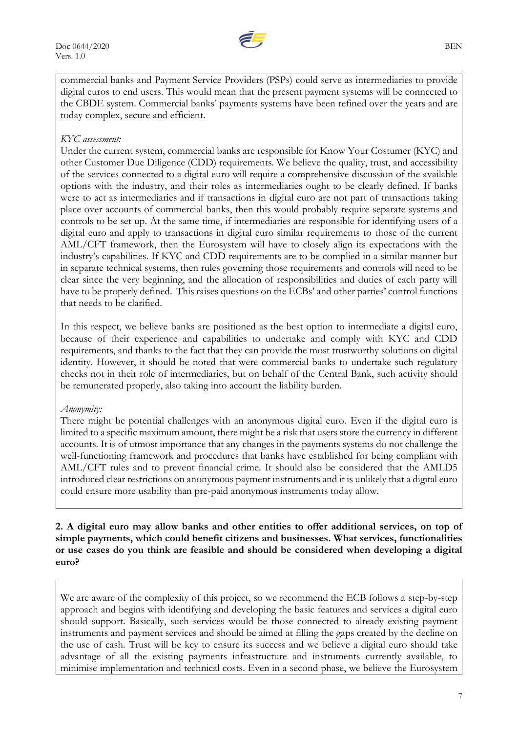

commercial banks and Payment Service Providers (PSPs) could serve as intermediaries to provide digital euros to end users. This would mean that the present payment systems will be connected to the CBDE system. Commercial banks' payments systems have been refined over the years and are today complex, secure and efficient.

### *KYC assessment:*

Under the current system, commercial banks are responsible for Know Your Costumer (KYC) and other Customer Due Diligence (CDD) requirements. We believe the quality, trust, and accessibility of the services connected to a digital euro will require a comprehensive discussion of the available options with the industry, and their roles as intermediaries ought to be clearly defined. If banks were to act as intermediaries and if transactions in digital euro are not part of transactions taking place over accounts of commercial banks, then this would probably require separate systems and controls to be set up. At the same time, if intermediaries are responsible for identifying users of a digital euro and apply to transactions in digital euro similar requirements to those of the current AML/CFT framework, then the Eurosystem will have to closely align its expectations with the industry's capabilities. If KYC and CDD requirements are to be complied in a similar manner but in separate technical systems, then rules governing those requirements and controls will need to be clear since the very beginning, and the allocation of responsibilities and duties of each party will have to be properly defined. This raises questions on the ECBs' and other parties' control functions that needs to be clarified.

In this respect, we believe banks are positioned as the best option to intermediate a digital euro, because of their experience and capabilities to undertake and comply with KYC and CDD requirements, and thanks to the fact that they can provide the most trustworthy solutions on digital identity. However, it should be noted that were commercial banks to undertake such regulatory checks not in their role of intermediaries, but on behalf of the Central Bank, such activity should be remunerated properly, also taking into account the liability burden.

### *Anonymity:*

There might be potential challenges with an anonymous digital euro. Even if the digital euro is limited to a specific maximum amount, there might be a risk that users store the currency in different accounts. It is of utmost importance that any changes in the payments systems do not challenge the well-functioning framework and procedures that banks have established for being compliant with AML/CFT rules and to prevent financial crime. It should also be considered that the AMLD5 introduced clear restrictions on anonymous payment instruments and it is unlikely that a digital euro could ensure more usability than pre-paid anonymous instruments today allow.

**2. A digital euro may allow banks and other entities to offer additional services, on top of simple payments, which could benefit citizens and businesses. What services, functionalities or use cases do you think are feasible and should be considered when developing a digital euro?**

We are aware of the complexity of this project, so we recommend the ECB follows a step-by-step approach and begins with identifying and developing the basic features and services a digital euro should support. Basically, such services would be those connected to already existing payment instruments and payment services and should be aimed at filling the gaps created by the decline on the use of cash. Trust will be key to ensure its success and we believe a digital euro should take advantage of all the existing payments infrastructure and instruments currently available, to minimise implementation and technical costs. Even in a second phase, we believe the Eurosystem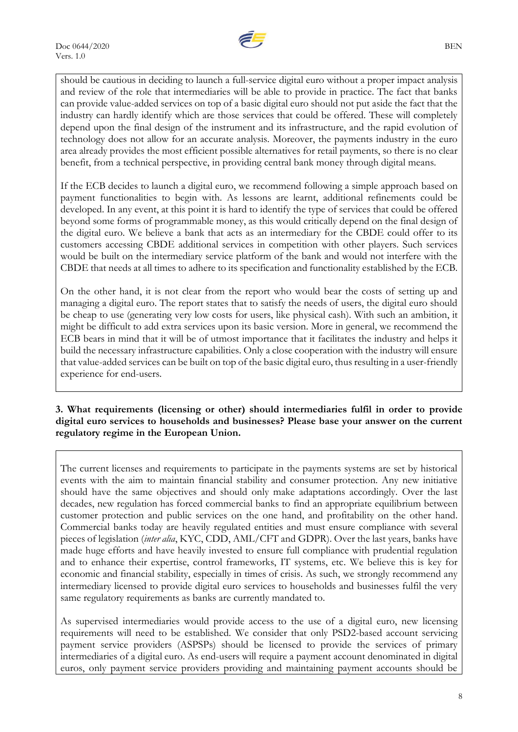

should be cautious in deciding to launch a full-service digital euro without a proper impact analysis and review of the role that intermediaries will be able to provide in practice. The fact that banks can provide value-added services on top of a basic digital euro should not put aside the fact that the industry can hardly identify which are those services that could be offered. These will completely depend upon the final design of the instrument and its infrastructure, and the rapid evolution of technology does not allow for an accurate analysis. Moreover, the payments industry in the euro area already provides the most efficient possible alternatives for retail payments, so there is no clear benefit, from a technical perspective, in providing central bank money through digital means.

If the ECB decides to launch a digital euro, we recommend following a simple approach based on payment functionalities to begin with. As lessons are learnt, additional refinements could be developed. In any event, at this point it is hard to identify the type of services that could be offered beyond some forms of programmable money, as this would critically depend on the final design of the digital euro. We believe a bank that acts as an intermediary for the CBDE could offer to its customers accessing CBDE additional services in competition with other players. Such services would be built on the intermediary service platform of the bank and would not interfere with the CBDE that needs at all times to adhere to its specification and functionality established by the ECB.

On the other hand, it is not clear from the report who would bear the costs of setting up and managing a digital euro. The report states that to satisfy the needs of users, the digital euro should be cheap to use (generating very low costs for users, like physical cash). With such an ambition, it might be difficult to add extra services upon its basic version. More in general, we recommend the ECB bears in mind that it will be of utmost importance that it facilitates the industry and helps it build the necessary infrastructure capabilities. Only a close cooperation with the industry will ensure that value-added services can be built on top of the basic digital euro, thus resulting in a user-friendly experience for end-users.

**3. What requirements (licensing or other) should intermediaries fulfil in order to provide digital euro services to households and businesses? Please base your answer on the current regulatory regime in the European Union.**

The current licenses and requirements to participate in the payments systems are set by historical events with the aim to maintain financial stability and consumer protection. Any new initiative should have the same objectives and should only make adaptations accordingly. Over the last decades, new regulation has forced commercial banks to find an appropriate equilibrium between customer protection and public services on the one hand, and profitability on the other hand. Commercial banks today are heavily regulated entities and must ensure compliance with several pieces of legislation (*inter alia*, KYC, CDD, AML/CFT and GDPR). Over the last years, banks have made huge efforts and have heavily invested to ensure full compliance with prudential regulation and to enhance their expertise, control frameworks, IT systems, etc. We believe this is key for economic and financial stability, especially in times of crisis. As such, we strongly recommend any intermediary licensed to provide digital euro services to households and businesses fulfil the very same regulatory requirements as banks are currently mandated to.

As supervised intermediaries would provide access to the use of a digital euro, new licensing requirements will need to be established. We consider that only PSD2-based account servicing payment service providers (ASPSPs) should be licensed to provide the services of primary intermediaries of a digital euro. As end-users will require a payment account denominated in digital euros, only payment service providers providing and maintaining payment accounts should be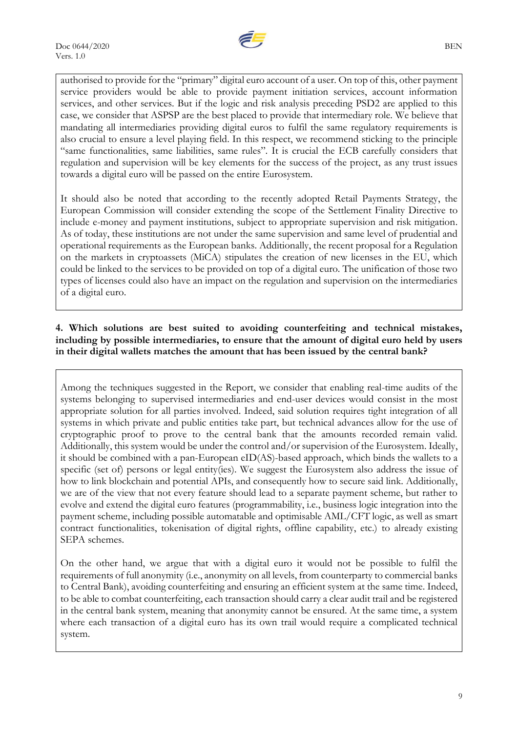

authorised to provide for the "primary" digital euro account of a user. On top of this, other payment service providers would be able to provide payment initiation services, account information services, and other services. But if the logic and risk analysis preceding PSD2 are applied to this case, we consider that ASPSP are the best placed to provide that intermediary role. We believe that mandating all intermediaries providing digital euros to fulfil the same regulatory requirements is also crucial to ensure a level playing field. In this respect, we recommend sticking to the principle "same functionalities, same liabilities, same rules". It is crucial the ECB carefully considers that regulation and supervision will be key elements for the success of the project, as any trust issues towards a digital euro will be passed on the entire Eurosystem.

It should also be noted that according to the recently adopted Retail Payments Strategy, the European Commission will consider extending the scope of the Settlement Finality Directive to include e-money and payment institutions, subject to appropriate supervision and risk mitigation. As of today, these institutions are not under the same supervision and same level of prudential and operational requirements as the European banks. Additionally, the recent proposal for a Regulation on the markets in cryptoassets (MiCA) stipulates the creation of new licenses in the EU, which could be linked to the services to be provided on top of a digital euro. The unification of those two types of licenses could also have an impact on the regulation and supervision on the intermediaries of a digital euro.

### **4. Which solutions are best suited to avoiding counterfeiting and technical mistakes, including by possible intermediaries, to ensure that the amount of digital euro held by users in their digital wallets matches the amount that has been issued by the central bank?**

Among the techniques suggested in the Report, we consider that enabling real-time audits of the systems belonging to supervised intermediaries and end-user devices would consist in the most appropriate solution for all parties involved. Indeed, said solution requires tight integration of all systems in which private and public entities take part, but technical advances allow for the use of cryptographic proof to prove to the central bank that the amounts recorded remain valid. Additionally, this system would be under the control and/or supervision of the Eurosystem. Ideally, it should be combined with a pan-European eID(AS)-based approach, which binds the wallets to a specific (set of) persons or legal entity(ies). We suggest the Eurosystem also address the issue of how to link blockchain and potential APIs, and consequently how to secure said link. Additionally, we are of the view that not every feature should lead to a separate payment scheme, but rather to evolve and extend the digital euro features (programmability, i.e., business logic integration into the payment scheme, including possible automatable and optimisable AML/CFT logic, as well as smart contract functionalities, tokenisation of digital rights, offline capability, etc.) to already existing SEPA schemes.

On the other hand, we argue that with a digital euro it would not be possible to fulfil the requirements of full anonymity (i.e., anonymity on all levels, from counterparty to commercial banks to Central Bank), avoiding counterfeiting and ensuring an efficient system at the same time. Indeed, to be able to combat counterfeiting, each transaction should carry a clear audit trail and be registered in the central bank system, meaning that anonymity cannot be ensured. At the same time, a system where each transaction of a digital euro has its own trail would require a complicated technical system.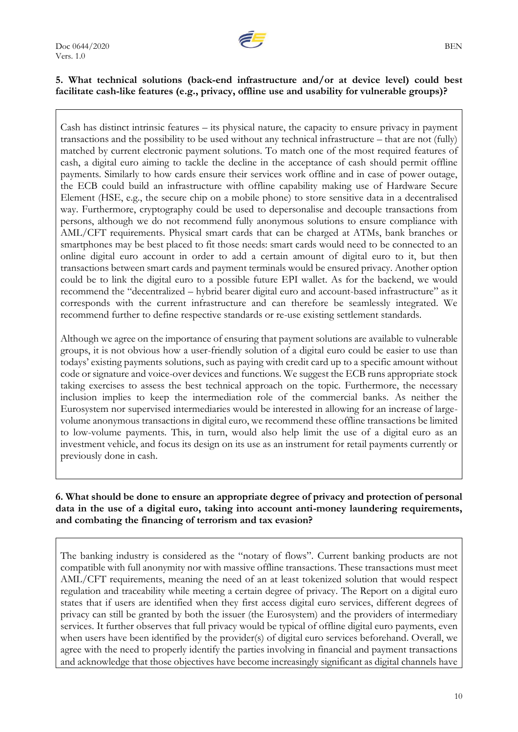

### **5. What technical solutions (back-end infrastructure and/or at device level) could best facilitate cash-like features (e.g., privacy, offline use and usability for vulnerable groups)?**

Cash has distinct intrinsic features – its physical nature, the capacity to ensure privacy in payment transactions and the possibility to be used without any technical infrastructure – that are not (fully) matched by current electronic payment solutions. To match one of the most required features of cash, a digital euro aiming to tackle the decline in the acceptance of cash should permit offline payments. Similarly to how cards ensure their services work offline and in case of power outage, the ECB could build an infrastructure with offline capability making use of Hardware Secure Element (HSE, e.g., the secure chip on a mobile phone) to store sensitive data in a decentralised way. Furthermore, cryptography could be used to depersonalise and decouple transactions from persons, although we do not recommend fully anonymous solutions to ensure compliance with AML/CFT requirements. Physical smart cards that can be charged at ATMs, bank branches or smartphones may be best placed to fit those needs: smart cards would need to be connected to an online digital euro account in order to add a certain amount of digital euro to it, but then transactions between smart cards and payment terminals would be ensured privacy. Another option could be to link the digital euro to a possible future EPI wallet. As for the backend, we would recommend the "decentralized – hybrid bearer digital euro and account-based infrastructure" as it corresponds with the current infrastructure and can therefore be seamlessly integrated. We recommend further to define respective standards or re-use existing settlement standards.

Although we agree on the importance of ensuring that payment solutions are available to vulnerable groups, it is not obvious how a user-friendly solution of a digital euro could be easier to use than todays' existing payments solutions, such as paying with credit card up to a specific amount without code or signature and voice-over devices and functions. We suggest the ECB runs appropriate stock taking exercises to assess the best technical approach on the topic. Furthermore, the necessary inclusion implies to keep the intermediation role of the commercial banks. As neither the Eurosystem nor supervised intermediaries would be interested in allowing for an increase of largevolume anonymous transactions in digital euro, we recommend these offline transactions be limited to low-volume payments. This, in turn, would also help limit the use of a digital euro as an investment vehicle, and focus its design on its use as an instrument for retail payments currently or previously done in cash.

### **6. What should be done to ensure an appropriate degree of privacy and protection of personal data in the use of a digital euro, taking into account anti-money laundering requirements, and combating the financing of terrorism and tax evasion?**

The banking industry is considered as the "notary of flows". Current banking products are not compatible with full anonymity nor with massive offline transactions. These transactions must meet AML/CFT requirements, meaning the need of an at least tokenized solution that would respect regulation and traceability while meeting a certain degree of privacy. The Report on a digital euro states that if users are identified when they first access digital euro services, different degrees of privacy can still be granted by both the issuer (the Eurosystem) and the providers of intermediary services. It further observes that full privacy would be typical of offline digital euro payments, even when users have been identified by the provider(s) of digital euro services beforehand. Overall, we agree with the need to properly identify the parties involving in financial and payment transactions and acknowledge that those objectives have become increasingly significant as digital channels have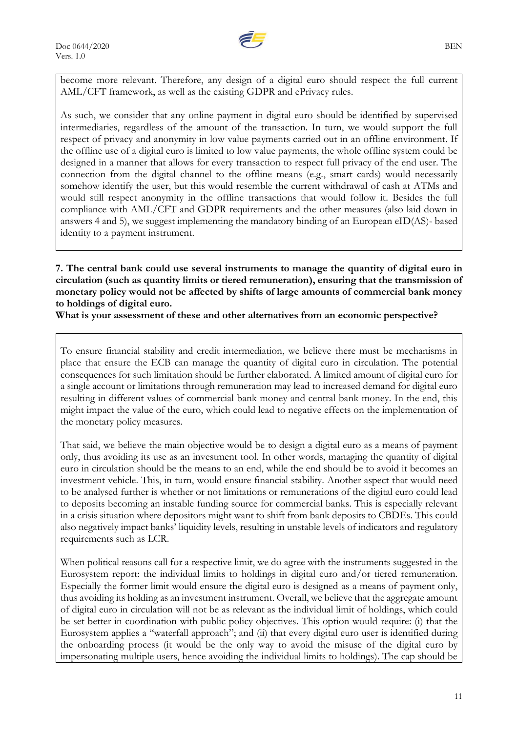

become more relevant. Therefore, any design of a digital euro should respect the full current AML/CFT framework, as well as the existing GDPR and ePrivacy rules.

As such, we consider that any online payment in digital euro should be identified by supervised intermediaries, regardless of the amount of the transaction. In turn, we would support the full respect of privacy and anonymity in low value payments carried out in an offline environment. If the offline use of a digital euro is limited to low value payments, the whole offline system could be designed in a manner that allows for every transaction to respect full privacy of the end user. The connection from the digital channel to the offline means (e.g., smart cards) would necessarily somehow identify the user, but this would resemble the current withdrawal of cash at ATMs and would still respect anonymity in the offline transactions that would follow it. Besides the full compliance with AML/CFT and GDPR requirements and the other measures (also laid down in answers 4 and 5), we suggest implementing the mandatory binding of an European eID(AS)- based identity to a payment instrument.

**7. The central bank could use several instruments to manage the quantity of digital euro in circulation (such as quantity limits or tiered remuneration), ensuring that the transmission of monetary policy would not be affected by shifts of large amounts of commercial bank money to holdings of digital euro.**

**What is your assessment of these and other alternatives from an economic perspective?**

To ensure financial stability and credit intermediation, we believe there must be mechanisms in place that ensure the ECB can manage the quantity of digital euro in circulation. The potential consequences for such limitation should be further elaborated. A limited amount of digital euro for a single account or limitations through remuneration may lead to increased demand for digital euro resulting in different values of commercial bank money and central bank money. In the end, this might impact the value of the euro, which could lead to negative effects on the implementation of the monetary policy measures.

That said, we believe the main objective would be to design a digital euro as a means of payment only, thus avoiding its use as an investment tool. In other words, managing the quantity of digital euro in circulation should be the means to an end, while the end should be to avoid it becomes an investment vehicle. This, in turn, would ensure financial stability. Another aspect that would need to be analysed further is whether or not limitations or remunerations of the digital euro could lead to deposits becoming an instable funding source for commercial banks. This is especially relevant in a crisis situation where depositors might want to shift from bank deposits to CBDEs. This could also negatively impact banks' liquidity levels, resulting in unstable levels of indicators and regulatory requirements such as LCR.

When political reasons call for a respective limit, we do agree with the instruments suggested in the Eurosystem report: the individual limits to holdings in digital euro and/or tiered remuneration. Especially the former limit would ensure the digital euro is designed as a means of payment only, thus avoiding its holding as an investment instrument. Overall, we believe that the aggregate amount of digital euro in circulation will not be as relevant as the individual limit of holdings, which could be set better in coordination with public policy objectives. This option would require: (i) that the Eurosystem applies a "waterfall approach"; and (ii) that every digital euro user is identified during the onboarding process (it would be the only way to avoid the misuse of the digital euro by impersonating multiple users, hence avoiding the individual limits to holdings). The cap should be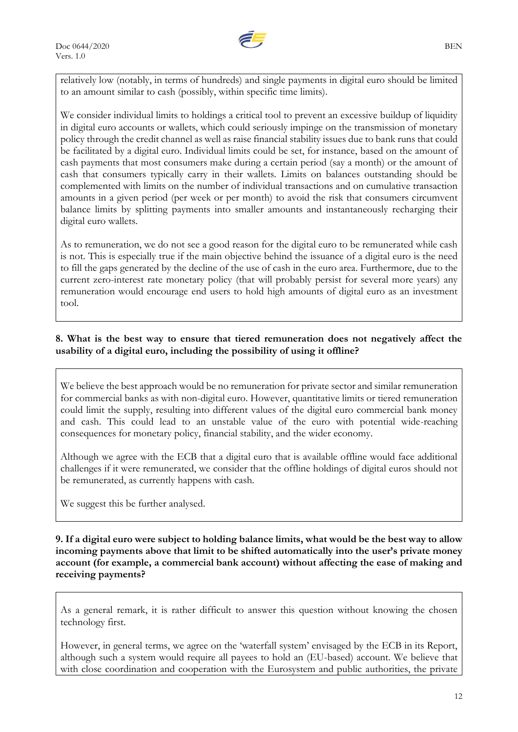

relatively low (notably, in terms of hundreds) and single payments in digital euro should be limited to an amount similar to cash (possibly, within specific time limits).

We consider individual limits to holdings a critical tool to prevent an excessive buildup of liquidity in digital euro accounts or wallets, which could seriously impinge on the transmission of monetary policy through the credit channel as well as raise financial stability issues due to bank runs that could be facilitated by a digital euro. Individual limits could be set, for instance, based on the amount of cash payments that most consumers make during a certain period (say a month) or the amount of cash that consumers typically carry in their wallets. Limits on balances outstanding should be complemented with limits on the number of individual transactions and on cumulative transaction amounts in a given period (per week or per month) to avoid the risk that consumers circumvent balance limits by splitting payments into smaller amounts and instantaneously recharging their digital euro wallets.

As to remuneration, we do not see a good reason for the digital euro to be remunerated while cash is not. This is especially true if the main objective behind the issuance of a digital euro is the need to fill the gaps generated by the decline of the use of cash in the euro area. Furthermore, due to the current zero-interest rate monetary policy (that will probably persist for several more years) any remuneration would encourage end users to hold high amounts of digital euro as an investment tool.

### **8. What is the best way to ensure that tiered remuneration does not negatively affect the usability of a digital euro, including the possibility of using it offline?**

We believe the best approach would be no remuneration for private sector and similar remuneration for commercial banks as with non-digital euro. However, quantitative limits or tiered remuneration could limit the supply, resulting into different values of the digital euro commercial bank money and cash. This could lead to an unstable value of the euro with potential wide-reaching consequences for monetary policy, financial stability, and the wider economy.

Although we agree with the ECB that a digital euro that is available offline would face additional challenges if it were remunerated, we consider that the offline holdings of digital euros should not be remunerated, as currently happens with cash.

We suggest this be further analysed.

### **9. If a digital euro were subject to holding balance limits, what would be the best way to allow incoming payments above that limit to be shifted automatically into the user's private money account (for example, a commercial bank account) without affecting the ease of making and receiving payments?**

As a general remark, it is rather difficult to answer this question without knowing the chosen technology first.

However, in general terms, we agree on the 'waterfall system' envisaged by the ECB in its Report, although such a system would require all payees to hold an (EU-based) account. We believe that with close coordination and cooperation with the Eurosystem and public authorities, the private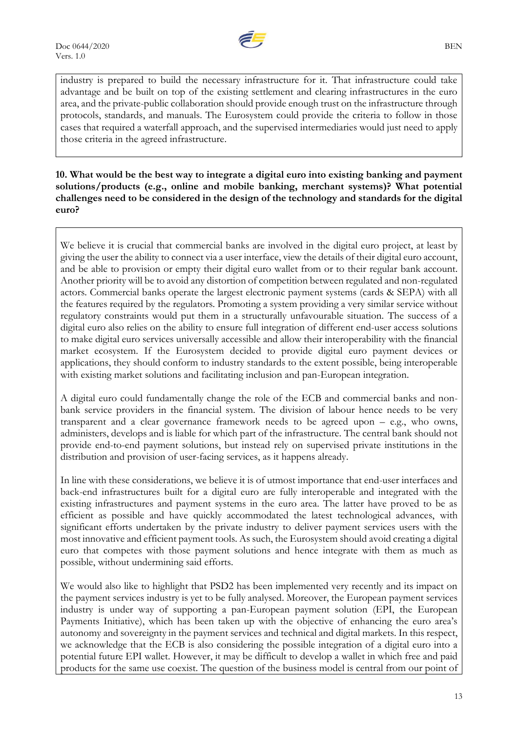

industry is prepared to build the necessary infrastructure for it. That infrastructure could take advantage and be built on top of the existing settlement and clearing infrastructures in the euro area, and the private-public collaboration should provide enough trust on the infrastructure through protocols, standards, and manuals. The Eurosystem could provide the criteria to follow in those cases that required a waterfall approach, and the supervised intermediaries would just need to apply those criteria in the agreed infrastructure.

**10. What would be the best way to integrate a digital euro into existing banking and payment solutions/products (e.g., online and mobile banking, merchant systems)? What potential challenges need to be considered in the design of the technology and standards for the digital euro?**

We believe it is crucial that commercial banks are involved in the digital euro project, at least by giving the user the ability to connect via a user interface, view the details of their digital euro account, and be able to provision or empty their digital euro wallet from or to their regular bank account. Another priority will be to avoid any distortion of competition between regulated and non-regulated actors. Commercial banks operate the largest electronic payment systems (cards & SEPA) with all the features required by the regulators. Promoting a system providing a very similar service without regulatory constraints would put them in a structurally unfavourable situation. The success of a digital euro also relies on the ability to ensure full integration of different end-user access solutions to make digital euro services universally accessible and allow their interoperability with the financial market ecosystem. If the Eurosystem decided to provide digital euro payment devices or applications, they should conform to industry standards to the extent possible, being interoperable with existing market solutions and facilitating inclusion and pan-European integration.

A digital euro could fundamentally change the role of the ECB and commercial banks and nonbank service providers in the financial system. The division of labour hence needs to be very transparent and a clear governance framework needs to be agreed upon – e.g., who owns, administers, develops and is liable for which part of the infrastructure. The central bank should not provide end-to-end payment solutions, but instead rely on supervised private institutions in the distribution and provision of user-facing services, as it happens already.

In line with these considerations, we believe it is of utmost importance that end-user interfaces and back-end infrastructures built for a digital euro are fully interoperable and integrated with the existing infrastructures and payment systems in the euro area. The latter have proved to be as efficient as possible and have quickly accommodated the latest technological advances, with significant efforts undertaken by the private industry to deliver payment services users with the most innovative and efficient payment tools. As such, the Eurosystem should avoid creating a digital euro that competes with those payment solutions and hence integrate with them as much as possible, without undermining said efforts.

We would also like to highlight that PSD2 has been implemented very recently and its impact on the payment services industry is yet to be fully analysed. Moreover, the European payment services industry is under way of supporting a pan-European payment solution (EPI, the European Payments Initiative), which has been taken up with the objective of enhancing the euro area's autonomy and sovereignty in the payment services and technical and digital markets. In this respect, we acknowledge that the ECB is also considering the possible integration of a digital euro into a potential future EPI wallet. However, it may be difficult to develop a wallet in which free and paid products for the same use coexist. The question of the business model is central from our point of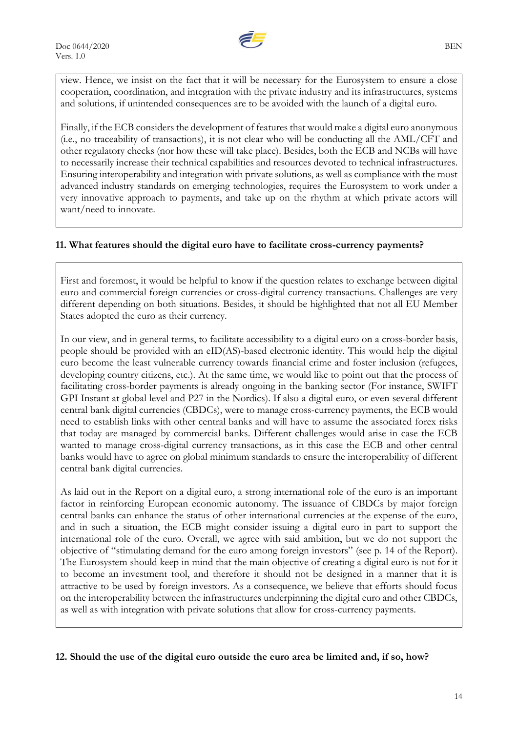

view. Hence, we insist on the fact that it will be necessary for the Eurosystem to ensure a close cooperation, coordination, and integration with the private industry and its infrastructures, systems and solutions, if unintended consequences are to be avoided with the launch of a digital euro.

Finally, if the ECB considers the development of features that would make a digital euro anonymous (i.e., no traceability of transactions), it is not clear who will be conducting all the AML/CFT and other regulatory checks (nor how these will take place). Besides, both the ECB and NCBs will have to necessarily increase their technical capabilities and resources devoted to technical infrastructures. Ensuring interoperability and integration with private solutions, as well as compliance with the most advanced industry standards on emerging technologies, requires the Eurosystem to work under a very innovative approach to payments, and take up on the rhythm at which private actors will want/need to innovate.

### **11. What features should the digital euro have to facilitate cross-currency payments?**

First and foremost, it would be helpful to know if the question relates to exchange between digital euro and commercial foreign currencies or cross-digital currency transactions. Challenges are very different depending on both situations. Besides, it should be highlighted that not all EU Member States adopted the euro as their currency.

In our view, and in general terms, to facilitate accessibility to a digital euro on a cross-border basis, people should be provided with an eID(AS)-based electronic identity. This would help the digital euro become the least vulnerable currency towards financial crime and foster inclusion (refugees, developing country citizens, etc.). At the same time, we would like to point out that the process of facilitating cross-border payments is already ongoing in the banking sector (For instance, SWIFT GPI Instant at global level and P27 in the Nordics). If also a digital euro, or even several different central bank digital currencies (CBDCs), were to manage cross-currency payments, the ECB would need to establish links with other central banks and will have to assume the associated forex risks that today are managed by commercial banks. Different challenges would arise in case the ECB wanted to manage cross-digital currency transactions, as in this case the ECB and other central banks would have to agree on global minimum standards to ensure the interoperability of different central bank digital currencies.

As laid out in the Report on a digital euro, a strong international role of the euro is an important factor in reinforcing European economic autonomy. The issuance of CBDCs by major foreign central banks can enhance the status of other international currencies at the expense of the euro, and in such a situation, the ECB might consider issuing a digital euro in part to support the international role of the euro. Overall, we agree with said ambition, but we do not support the objective of "stimulating demand for the euro among foreign investors" (see p. 14 of the Report). The Eurosystem should keep in mind that the main objective of creating a digital euro is not for it to become an investment tool, and therefore it should not be designed in a manner that it is attractive to be used by foreign investors. As a consequence, we believe that efforts should focus on the interoperability between the infrastructures underpinning the digital euro and other CBDCs, as well as with integration with private solutions that allow for cross-currency payments.

**12. Should the use of the digital euro outside the euro area be limited and, if so, how?**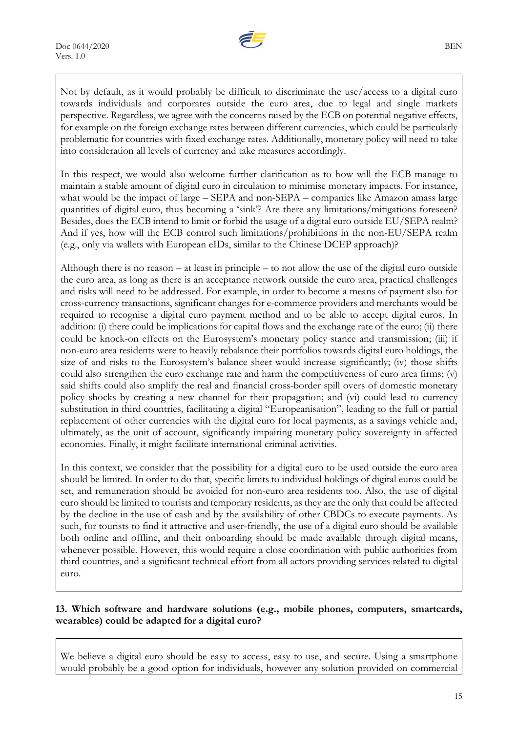

Not by default, as it would probably be difficult to discriminate the use/access to a digital euro towards individuals and corporates outside the euro area, due to legal and single markets perspective. Regardless, we agree with the concerns raised by the ECB on potential negative effects, for example on the foreign exchange rates between different currencies, which could be particularly problematic for countries with fixed exchange rates. Additionally, monetary policy will need to take into consideration all levels of currency and take measures accordingly.

In this respect, we would also welcome further clarification as to how will the ECB manage to maintain a stable amount of digital euro in circulation to minimise monetary impacts. For instance, what would be the impact of large – SEPA and non-SEPA – companies like Amazon amass large quantities of digital euro, thus becoming a 'sink'? Are there any limitations/mitigations foreseen? Besides, does the ECB intend to limit or forbid the usage of a digital euro outside EU/SEPA realm? And if yes, how will the ECB control such limitations/prohibitions in the non-EU/SEPA realm (e.g., only via wallets with European eIDs, similar to the Chinese DCEP approach)?

Although there is no reason – at least in principle – to not allow the use of the digital euro outside the euro area, as long as there is an acceptance network outside the euro area, practical challenges and risks will need to be addressed. For example, in order to become a means of payment also for cross-currency transactions, significant changes for e-commerce providers and merchants would be required to recognise a digital euro payment method and to be able to accept digital euros. In addition: (i) there could be implications for capital flows and the exchange rate of the euro; (ii) there could be knock-on effects on the Eurosystem's monetary policy stance and transmission; (iii) if non-euro area residents were to heavily rebalance their portfolios towards digital euro holdings, the size of and risks to the Eurosystem's balance sheet would increase significantly; (iv) those shifts could also strengthen the euro exchange rate and harm the competitiveness of euro area firms; (v) said shifts could also amplify the real and financial cross-border spill overs of domestic monetary policy shocks by creating a new channel for their propagation; and (vi) could lead to currency substitution in third countries, facilitating a digital "Europeanisation", leading to the full or partial replacement of other currencies with the digital euro for local payments, as a savings vehicle and, ultimately, as the unit of account, significantly impairing monetary policy sovereignty in affected economies. Finally, it might facilitate international criminal activities.

In this context, we consider that the possibility for a digital euro to be used outside the euro area should be limited. In order to do that, specific limits to individual holdings of digital euros could be set, and remuneration should be avoided for non-euro area residents too. Also, the use of digital euro should be limited to tourists and temporary residents, as they are the only that could be affected by the decline in the use of cash and by the availability of other CBDCs to execute payments. As such, for tourists to find it attractive and user-friendly, the use of a digital euro should be available both online and offline, and their onboarding should be made available through digital means, whenever possible. However, this would require a close coordination with public authorities from third countries, and a significant technical effort from all actors providing services related to digital euro.

## **13. Which software and hardware solutions (e.g., mobile phones, computers, smartcards, wearables) could be adapted for a digital euro?**

We believe a digital euro should be easy to access, easy to use, and secure. Using a smartphone would probably be a good option for individuals, however any solution provided on commercial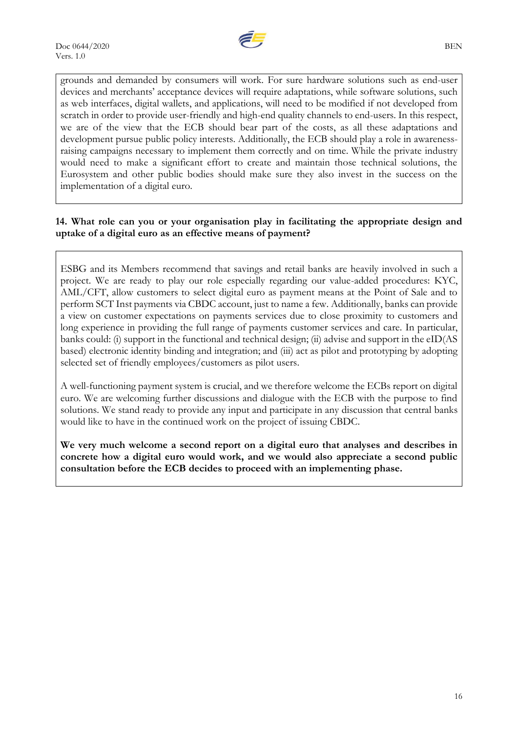

grounds and demanded by consumers will work. For sure hardware solutions such as end-user devices and merchants' acceptance devices will require adaptations, while software solutions, such as web interfaces, digital wallets, and applications, will need to be modified if not developed from scratch in order to provide user-friendly and high-end quality channels to end-users. In this respect, we are of the view that the ECB should bear part of the costs, as all these adaptations and development pursue public policy interests. Additionally, the ECB should play a role in awarenessraising campaigns necessary to implement them correctly and on time. While the private industry would need to make a significant effort to create and maintain those technical solutions, the Eurosystem and other public bodies should make sure they also invest in the success on the implementation of a digital euro.

### **14. What role can you or your organisation play in facilitating the appropriate design and uptake of a digital euro as an effective means of payment?**

ESBG and its Members recommend that savings and retail banks are heavily involved in such a project. We are ready to play our role especially regarding our value-added procedures: KYC, AML/CFT, allow customers to select digital euro as payment means at the Point of Sale and to perform SCT Inst payments via CBDC account, just to name a few. Additionally, banks can provide a view on customer expectations on payments services due to close proximity to customers and long experience in providing the full range of payments customer services and care. In particular, banks could: (i) support in the functional and technical design; (ii) advise and support in the eID(AS based) electronic identity binding and integration; and (iii) act as pilot and prototyping by adopting selected set of friendly employees/customers as pilot users.

A well-functioning payment system is crucial, and we therefore welcome the ECBs report on digital euro. We are welcoming further discussions and dialogue with the ECB with the purpose to find solutions. We stand ready to provide any input and participate in any discussion that central banks would like to have in the continued work on the project of issuing CBDC.

**We very much welcome a second report on a digital euro that analyses and describes in concrete how a digital euro would work, and we would also appreciate a second public consultation before the ECB decides to proceed with an implementing phase.**